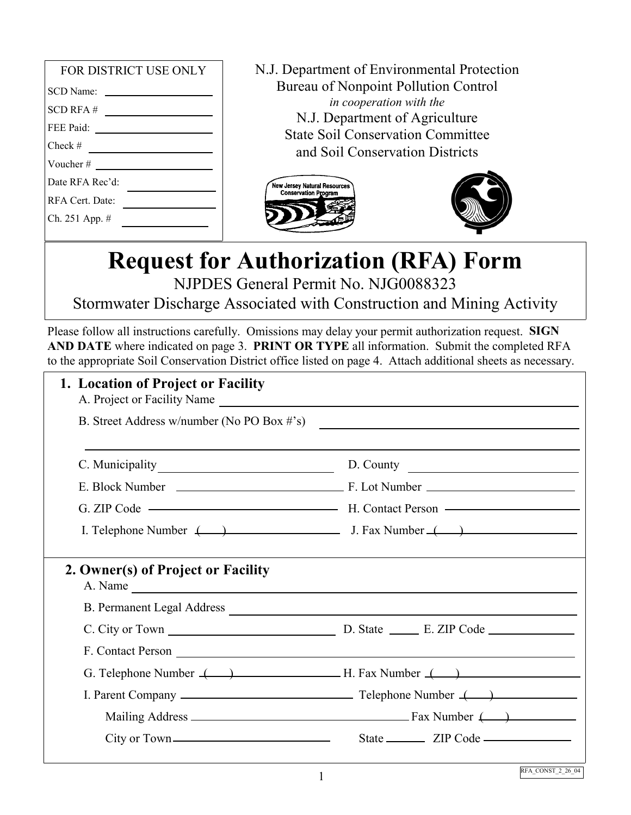| <b>FOR DISTRICT USE ONLY</b> |
|------------------------------|
| SCD Name:                    |
| SCD RFA #                    |
| FEE Paid:                    |
| Check #                      |
| Voucher#                     |
| Date RFA Rec'd:              |
| RFA Cert. Date:              |
| Ch. 251 App. #               |
|                              |

N.J. Department of Environmental Protection Bureau of Nonpoint Pollution Control *in cooperation with the*  N.J. Department of Agriculture State Soil Conservation Committee and Soil Conservation Districts





**Request for Authorization (RFA) Form**

NJPDES General Permit No. NJG0088323

Stormwater Discharge Associated with Construction and Mining Activity

Please follow all instructions carefully. Omissions may delay your permit authorization request. **SIGN AND DATE** where indicated on page 3. **PRINT OR TYPE** all information. Submit the completed RFA to the appropriate Soil Conservation District office listed on page 4. Attach additional sheets as necessary.

| B. Street Address w/number (No PO Box #'s)                                                                                                                                                                                                                                                                                                                                                                                                                                                                                                                                                                                                                                                                                                                                           |  |  |
|--------------------------------------------------------------------------------------------------------------------------------------------------------------------------------------------------------------------------------------------------------------------------------------------------------------------------------------------------------------------------------------------------------------------------------------------------------------------------------------------------------------------------------------------------------------------------------------------------------------------------------------------------------------------------------------------------------------------------------------------------------------------------------------|--|--|
| C. Municipality D. County D. County                                                                                                                                                                                                                                                                                                                                                                                                                                                                                                                                                                                                                                                                                                                                                  |  |  |
|                                                                                                                                                                                                                                                                                                                                                                                                                                                                                                                                                                                                                                                                                                                                                                                      |  |  |
|                                                                                                                                                                                                                                                                                                                                                                                                                                                                                                                                                                                                                                                                                                                                                                                      |  |  |
| I. Telephone Number ( ) J. Fax Number ( )                                                                                                                                                                                                                                                                                                                                                                                                                                                                                                                                                                                                                                                                                                                                            |  |  |
|                                                                                                                                                                                                                                                                                                                                                                                                                                                                                                                                                                                                                                                                                                                                                                                      |  |  |
|                                                                                                                                                                                                                                                                                                                                                                                                                                                                                                                                                                                                                                                                                                                                                                                      |  |  |
|                                                                                                                                                                                                                                                                                                                                                                                                                                                                                                                                                                                                                                                                                                                                                                                      |  |  |
|                                                                                                                                                                                                                                                                                                                                                                                                                                                                                                                                                                                                                                                                                                                                                                                      |  |  |
|                                                                                                                                                                                                                                                                                                                                                                                                                                                                                                                                                                                                                                                                                                                                                                                      |  |  |
|                                                                                                                                                                                                                                                                                                                                                                                                                                                                                                                                                                                                                                                                                                                                                                                      |  |  |
| 2. Owner(s) of Project or Facility<br>B. Permanent Legal Address Land and the Contract of the Contract of the Contract of the Contract of the Contract of the Contract of the Contract of the Contract of the Contract of the Contract of the Contract of the Contra<br>F. Contact Person Lawrence and the contract person of the contract of the contract person of the contract of the contract of the contract of the contract of the contract of the contract of the contract of the contract of t<br>G. Telephone Number ( ) The Fax Number ( ) and H. Fax Number ( ) and $\frac{1}{2}$ and $\frac{1}{2}$ and $\frac{1}{2}$ and $\frac{1}{2}$ and $\frac{1}{2}$ and $\frac{1}{2}$ and $\frac{1}{2}$ and $\frac{1}{2}$ and $\frac{1}{2}$ and $\frac{1}{2}$ and $\frac{1}{2}$ and |  |  |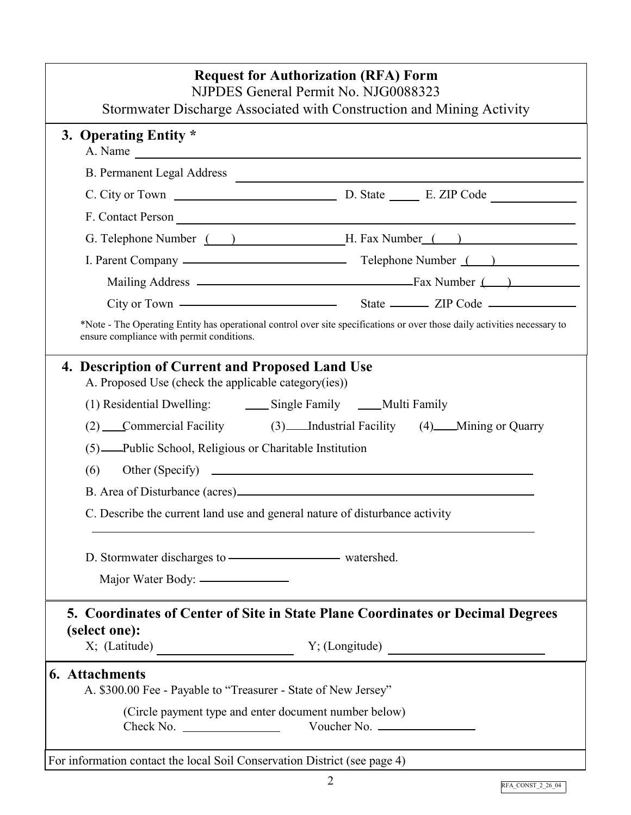|     | <b>Request for Authorization (RFA) Form</b><br>NJPDES General Permit No. NJG0088323<br>Stormwater Discharge Associated with Construction and Mining Activity<br>3. Operating Entity *<br>A. Name |  |
|-----|--------------------------------------------------------------------------------------------------------------------------------------------------------------------------------------------------|--|
|     |                                                                                                                                                                                                  |  |
|     | <b>B. Permanent Legal Address</b>                                                                                                                                                                |  |
|     |                                                                                                                                                                                                  |  |
|     | F. Contact Person                                                                                                                                                                                |  |
|     | G. Telephone Number ( ) H. Fax Number ( )                                                                                                                                                        |  |
|     |                                                                                                                                                                                                  |  |
|     |                                                                                                                                                                                                  |  |
|     | City or Town ——————————————————————— State ————— ZIP Code                                                                                                                                        |  |
|     | *Note - The Operating Entity has operational control over site specifications or over those daily activities necessary to<br>ensure compliance with permit conditions.                           |  |
|     | 4. Description of Current and Proposed Land Use<br>A. Proposed Use (check the applicable category(ies))                                                                                          |  |
| (6) | (2) Commercial Facility (3) Industrial Facility (4) Mining or Quarry<br>(5) — Public School, Religious or Charitable Institution                                                                 |  |
|     |                                                                                                                                                                                                  |  |
|     | C. Describe the current land use and general nature of disturbance activity                                                                                                                      |  |
|     | Major Water Body: ————————————————————                                                                                                                                                           |  |
|     | 5. Coordinates of Center of Site in State Plane Coordinates or Decimal Degrees<br>(select one):                                                                                                  |  |
|     | $X$ ; (Latitude) $Y$ ; (Longitude) $Y$ = (Longitude) $Y$                                                                                                                                         |  |
|     | <b>6.</b> Attachments<br>A. \$300.00 Fee - Payable to "Treasurer - State of New Jersey"                                                                                                          |  |
|     | (Circle payment type and enter document number below)<br>Check No.                                                                                                                               |  |
|     | For information contact the local Soil Conservation District (see page 4)                                                                                                                        |  |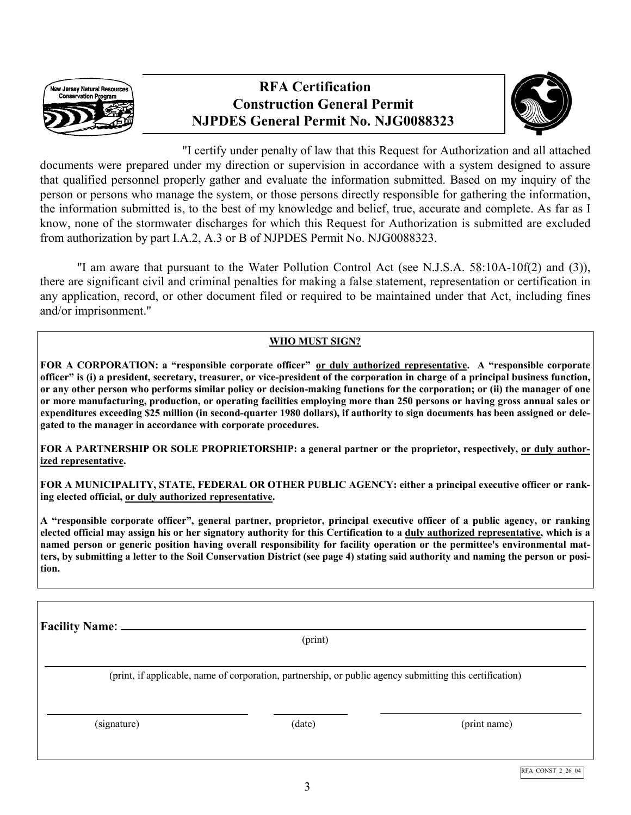

## **RFA Certification Construction General Permit NJPDES General Permit No. NJG0088323**



 "I certify under penalty of law that this Request for Authorization and all attached documents were prepared under my direction or supervision in accordance with a system designed to assure that qualified personnel properly gather and evaluate the information submitted. Based on my inquiry of the person or persons who manage the system, or those persons directly responsible for gathering the information, the information submitted is, to the best of my knowledge and belief, true, accurate and complete. As far as I know, none of the stormwater discharges for which this Request for Authorization is submitted are excluded from authorization by part I.A.2, A.3 or B of NJPDES Permit No. NJG0088323.

 "I am aware that pursuant to the Water Pollution Control Act (see N.J.S.A. 58:10A-10f(2) and (3)), there are significant civil and criminal penalties for making a false statement, representation or certification in any application, record, or other document filed or required to be maintained under that Act, including fines and/or imprisonment."

## **WHO MUST SIGN?**

**FOR A CORPORATION: a "responsible corporate officer" or duly authorized representative. A "responsible corporate officer" is (i) a president, secretary, treasurer, or vice-president of the corporation in charge of a principal business function, or any other person who performs similar policy or decision-making functions for the corporation; or (ii) the manager of one or more manufacturing, production, or operating facilities employing more than 250 persons or having gross annual sales or expenditures exceeding \$25 million (in second-quarter 1980 dollars), if authority to sign documents has been assigned or delegated to the manager in accordance with corporate procedures.** 

**FOR A PARTNERSHIP OR SOLE PROPRIETORSHIP: a general partner or the proprietor, respectively, or duly authorized representative.** 

**FOR A MUNICIPALITY, STATE, FEDERAL OR OTHER PUBLIC AGENCY: either a principal executive officer or ranking elected official, or duly authorized representative.** 

**A "responsible corporate officer", general partner, proprietor, principal executive officer of a public agency, or ranking elected official may assign his or her signatory authority for this Certification to a duly authorized representative, which is a named person or generic position having overall responsibility for facility operation or the permittee's environmental matters, by submitting a letter to the Soil Conservation District (see page 4) stating said authority and naming the person or position.** 

**Facility Name:** 

(print)

(print, if applicable, name of corporation, partnership, or public agency submitting this certification)

(signature) (date) (print name)